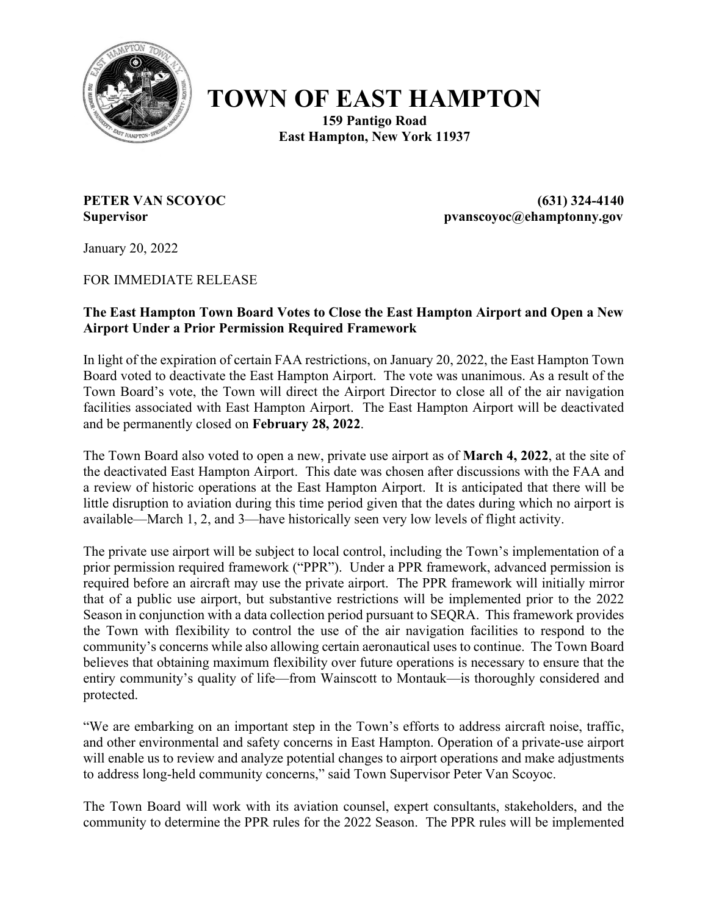

## **TOWN OF EAST HAMPTON**

**159 Pantigo Road East Hampton, New York 11937**

**PETER VAN SCOYOC (631) 324-4140 Supervisor pvanscoyoc@ehamptonny.gov**

January 20, 2022

FOR IMMEDIATE RELEASE

## **The East Hampton Town Board Votes to Close the East Hampton Airport and Open a New Airport Under a Prior Permission Required Framework**

In light of the expiration of certain FAA restrictions, on January 20, 2022, the East Hampton Town Board voted to deactivate the East Hampton Airport. The vote was unanimous. As a result of the Town Board's vote, the Town will direct the Airport Director to close all of the air navigation facilities associated with East Hampton Airport. The East Hampton Airport will be deactivated and be permanently closed on **February 28, 2022**.

The Town Board also voted to open a new, private use airport as of **March 4, 2022**, at the site of the deactivated East Hampton Airport. This date was chosen after discussions with the FAA and a review of historic operations at the East Hampton Airport. It is anticipated that there will be little disruption to aviation during this time period given that the dates during which no airport is available—March 1, 2, and 3—have historically seen very low levels of flight activity.

The private use airport will be subject to local control, including the Town's implementation of a prior permission required framework ("PPR"). Under a PPR framework, advanced permission is required before an aircraft may use the private airport. The PPR framework will initially mirror that of a public use airport, but substantive restrictions will be implemented prior to the 2022 Season in conjunction with a data collection period pursuant to SEQRA. This framework provides the Town with flexibility to control the use of the air navigation facilities to respond to the community's concerns while also allowing certain aeronautical uses to continue. The Town Board believes that obtaining maximum flexibility over future operations is necessary to ensure that the entiry community's quality of life—from Wainscott to Montauk—is thoroughly considered and protected.

"We are embarking on an important step in the Town's efforts to address aircraft noise, traffic, and other environmental and safety concerns in East Hampton. Operation of a private-use airport will enable us to review and analyze potential changes to airport operations and make adjustments to address long-held community concerns," said Town Supervisor Peter Van Scoyoc.

The Town Board will work with its aviation counsel, expert consultants, stakeholders, and the community to determine the PPR rules for the 2022 Season. The PPR rules will be implemented